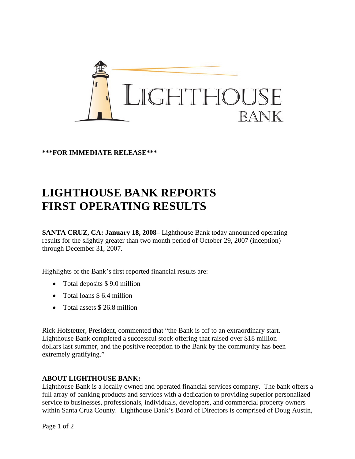

**\*\*\*FOR IMMEDIATE RELEASE\*\*\***

## **LIGHTHOUSE BANK REPORTS FIRST OPERATING RESULTS**

**SANTA CRUZ, CA: January 18, 2008**– Lighthouse Bank today announced operating results for the slightly greater than two month period of October 29, 2007 (inception) through December 31, 2007.

Highlights of the Bank's first reported financial results are:

- Total deposits \$9.0 million
- Total loans \$ 6.4 million
- Total assets \$26.8 million

Rick Hofstetter, President, commented that "the Bank is off to an extraordinary start. Lighthouse Bank completed a successful stock offering that raised over \$18 million dollars last summer, and the positive reception to the Bank by the community has been extremely gratifying."

## **ABOUT LIGHTHOUSE BANK:**

Lighthouse Bank is a locally owned and operated financial services company. The bank offers a full array of banking products and services with a dedication to providing superior personalized service to businesses, professionals, individuals, developers, and commercial property owners within Santa Cruz County. Lighthouse Bank's Board of Directors is comprised of Doug Austin,